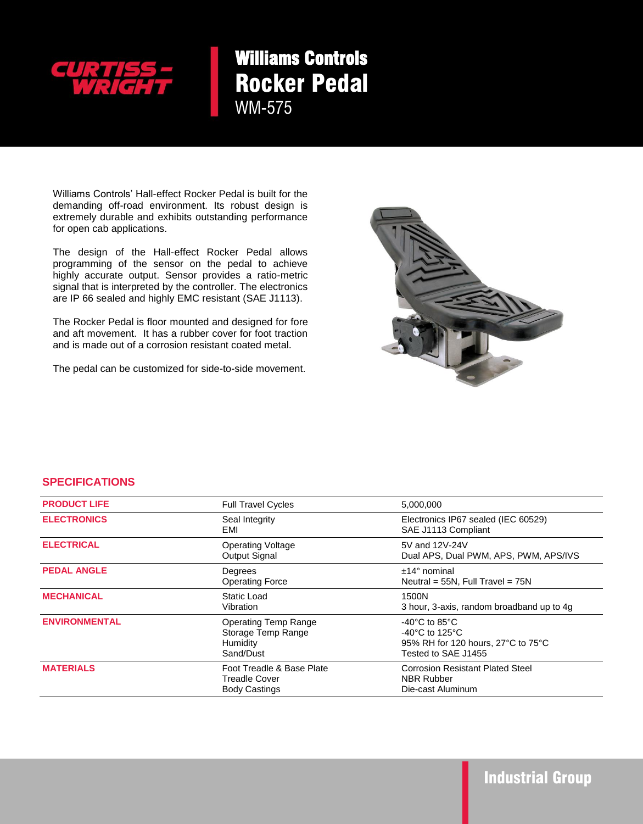

## Williams Controls Rocker Pedal WM-575

extremely durable and exhibits outstanding performance<br>for energiesh explications Williams Controls' Hall-effect Rocker Pedal is built for the demanding off-road environment. Its robust design is for open cab applications.

The design of the Hall-effect Rocker Pedal allows programming of the sensor on the pedal to achieve highly accurate output. Sensor provides a ratio-metric signal that is interpreted by the controller. The electronics are IP 66 sealed and highly EMC resistant (SAE J1113).

The Rocker Pedal is floor mounted and designed for fore and aft movement. It has a rubber cover for foot traction and is made out of a corrosion resistant coated metal.

The pedal can be customized for side-to-side movement.



## **SPECIFICATIONS**

| <b>PRODUCT LIFE</b>  | <b>Full Travel Cycles</b>                                           | 5,000,000                                                                                                                              |
|----------------------|---------------------------------------------------------------------|----------------------------------------------------------------------------------------------------------------------------------------|
| <b>ELECTRONICS</b>   | Seal Integrity<br>EMI                                               | Electronics IP67 sealed (IEC 60529)<br>SAE J1113 Compliant                                                                             |
| <b>ELECTRICAL</b>    | <b>Operating Voltage</b><br>Output Signal                           | 5V and 12V-24V<br>Dual APS, Dual PWM, APS, PWM, APS/IVS                                                                                |
| <b>PEDAL ANGLE</b>   | Degrees<br><b>Operating Force</b>                                   | $±14°$ nominal<br>Neutral = $55N$ , Full Travel = $75N$                                                                                |
| <b>MECHANICAL</b>    | Static Load<br>Vibration                                            | 1500N<br>3 hour, 3-axis, random broadband up to 4g                                                                                     |
| <b>ENVIRONMENTAL</b> | Operating Temp Range<br>Storage Temp Range<br>Humidity<br>Sand/Dust | $-40^{\circ}$ C to 85 $^{\circ}$ C<br>$-40^{\circ}$ C to 125 $^{\circ}$ C<br>95% RH for 120 hours, 27°C to 75°C<br>Tested to SAE J1455 |
| <b>MATERIALS</b>     | Foot Treadle & Base Plate<br>Treadle Cover<br><b>Body Castings</b>  | <b>Corrosion Resistant Plated Steel</b><br><b>NBR Rubber</b><br>Die-cast Aluminum                                                      |